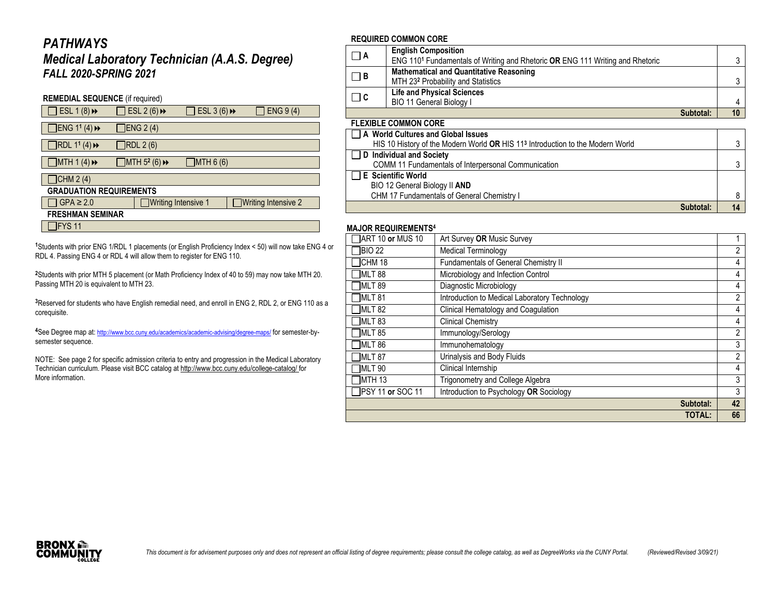## *PATHWAYS*

## *Medical Laboratory Technician (A.A.S. Degree) FALL 2020-SPRING 2021*

| <b>REMEDIAL SEQUENCE</b> (if required)  |  |                                                 |                            |  |                     |  |
|-----------------------------------------|--|-------------------------------------------------|----------------------------|--|---------------------|--|
| ESL 1 $(8)$ <sup>+</sup>                |  | ESL 2 (6) $\rightarrow$                         | ESL 3 (6) $\rightarrow$    |  | ENG 9 (4)           |  |
| $JENG$ 1 <sup>1</sup> (4) $\rightarrow$ |  | <b>IENG 2 (4)</b>                               |                            |  |                     |  |
| RDL 11 (4)                              |  | RDL 2 (6)                                       |                            |  |                     |  |
| JMTH1(4)                                |  | $\Box$ MTH 5 <sup>2</sup> (6) $\leftrightarrow$ | ]MTH 6 (6)                 |  |                     |  |
| $\Box$ CHM 2 (4)                        |  |                                                 |                            |  |                     |  |
| <b>GRADUATION REQUIREMENTS</b>          |  |                                                 |                            |  |                     |  |
| $GPA \geq 2.0$                          |  |                                                 | <b>Writing Intensive 1</b> |  | Writing Intensive 2 |  |
| <b>FRESHMAN SEMINAR</b>                 |  |                                                 |                            |  |                     |  |
| IFYS 11                                 |  |                                                 |                            |  |                     |  |

**<sup>1</sup>**Students with prior ENG 1/RDL 1 placements (or English Proficiency Index < 50) will now take ENG 4 or RDL 4. Passing ENG 4 or RDL 4 will allow them to register for ENG 110.

**<sup>2</sup>**Students with prior MTH 5 placement (or Math Proficiency Index of 40 to 59) may now take MTH 20. Passing MTH 20 is equivalent to MTH 23.

**<sup>3</sup>**Reserved for students who have English remedial need, and enroll in ENG 2, RDL 2, or ENG 110 as a corequisite.

**<sup>4</sup>**See Degree map at: <http://www.bcc.cuny.edu/academics/academic-advising/degree-maps/> for semester-bysemester sequence.

NOTE: See page 2 for specific admission criteria to entry and progression in the Medical Laboratory Technician curriculum. Please visit BCC catalog at <http://www.bcc.cuny.edu/college-catalog/> for More information.

#### **REQUIRED COMMON CORE**

| $\Box$ A | <b>English Composition</b>                                                                |    |
|----------|-------------------------------------------------------------------------------------------|----|
|          | ENG 110 <sup>1</sup> Fundamentals of Writing and Rhetoric OR ENG 111 Writing and Rhetoric |    |
| $\Box$ B | <b>Mathematical and Quantitative Reasoning</b>                                            |    |
|          | MTH 23 <sup>2</sup> Probability and Statistics                                            |    |
| $\Box$ C | <b>Life and Physical Sciences</b>                                                         |    |
|          | BIO 11 General Biology I                                                                  |    |
|          | Subtotal:                                                                                 | 10 |

| <b>FLEXIBLE COMMON CORE</b> |  |
|-----------------------------|--|
|                             |  |

| □ A World Cultures and Global Issues                                                       |  |
|--------------------------------------------------------------------------------------------|--|
| HIS 10 History of the Modern World OR HIS 11 <sup>3</sup> Introduction to the Modern World |  |
| D Individual and Society                                                                   |  |
| COMM 11 Fundamentals of Interpersonal Communication                                        |  |
| $\Box$ E Scientific World                                                                  |  |
| BIO 12 General Biology II AND                                                              |  |
| CHM 17 Fundamentals of General Chemistry I                                                 |  |
| Subtotal:                                                                                  |  |

#### **MAJOR REQUIREMENTS<sup>4</sup>**

| <b>MAJUR REWUIREMENTS</b>         |                                               |                |
|-----------------------------------|-----------------------------------------------|----------------|
| $\overline{\rm ART}$ 10 or MUS 10 | Art Survey OR Music Survey                    |                |
| <b>BIO 22</b>                     | <b>Medical Terminology</b>                    | $\overline{2}$ |
| ICHM 18                           | Fundamentals of General Chemistry II          | 4              |
| MLT 88                            | Microbiology and Infection Control            | 4              |
| TMLT 89                           | Diagnostic Microbiology                       | 4              |
| MLT 81                            | Introduction to Medical Laboratory Technology | $\overline{2}$ |
| TMLT 82                           | Clinical Hematology and Coagulation           | 4              |
| MLT 83                            | <b>Clinical Chemistry</b>                     | 4              |
| MLT 85                            | Immunology/Serology                           | $\overline{2}$ |
| MLT 86                            | Immunohematology                              | 3              |
| MLT 87                            | Urinalysis and Body Fluids                    | $\overline{2}$ |
| MLT 90                            | Clinical Internship                           | 4              |
| <b>IMTH 13</b>                    | Trigonometry and College Algebra              | 3              |
| PSY 11 or SOC 11                  | Introduction to Psychology OR Sociology       | 3              |
|                                   | Subtotal:                                     | 42             |
|                                   | <b>TOTAL:</b>                                 | 66             |